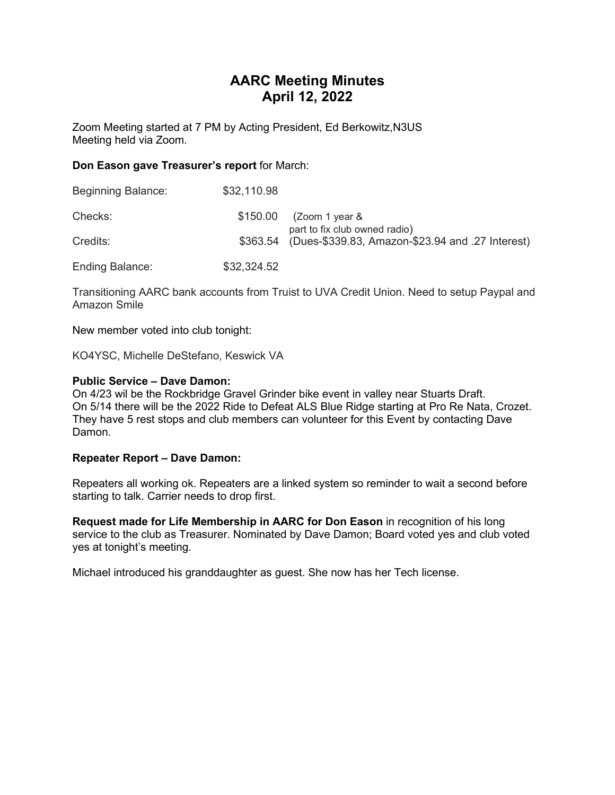# AARC Meeting Minutes April 12, 2022

Zoom Meeting started at 7 PM by Acting President, Ed Berkowitz,N3US Meeting held via Zoom.

### Don Eason gave Treasurer's report for March:

| <b>Beginning Balance:</b> | \$32,110.98 |                                                           |
|---------------------------|-------------|-----------------------------------------------------------|
| Checks:                   | \$150.00    | (Zoom 1 year &<br>part to fix club owned radio)           |
| Credits:                  |             | \$363.54 (Dues-\$339.83, Amazon-\$23.94 and .27 Interest) |
| Ending Balance:           | \$32,324.52 |                                                           |

Transitioning AARC bank accounts from Truist to UVA Credit Union. Need to setup Paypal and Amazon Smile

New member voted into club tonight:

KO4YSC, Michelle DeStefano, Keswick VA

### Public Service – Dave Damon:

On 4/23 wil be the Rockbridge Gravel Grinder bike event in valley near Stuarts Draft. On 5/14 there will be the 2022 Ride to Defeat ALS Blue Ridge starting at Pro Re Nata, Crozet. They have 5 rest stops and club members can volunteer for this Event by contacting Dave Damon.

#### Repeater Report – Dave Damon:

Repeaters all working ok. Repeaters are a linked system so reminder to wait a second before starting to talk. Carrier needs to drop first.

Request made for Life Membership in AARC for Don Eason in recognition of his long service to the club as Treasurer. Nominated by Dave Damon; Board voted yes and club voted yes at tonight's meeting.

Michael introduced his granddaughter as guest. She now has her Tech license.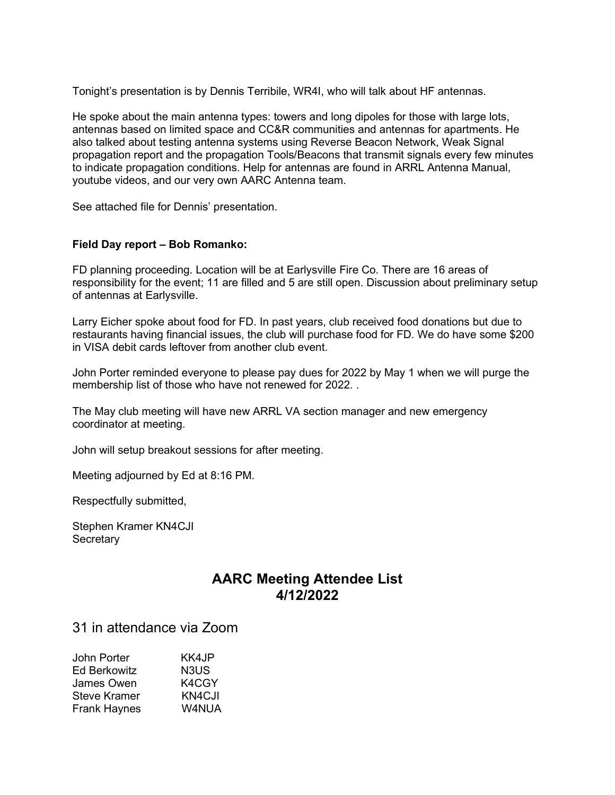Tonight's presentation is by Dennis Terribile, WR4I, who will talk about HF antennas.

He spoke about the main antenna types: towers and long dipoles for those with large lots, antennas based on limited space and CC&R communities and antennas for apartments. He also talked about testing antenna systems using Reverse Beacon Network, Weak Signal propagation report and the propagation Tools/Beacons that transmit signals every few minutes to indicate propagation conditions. Help for antennas are found in ARRL Antenna Manual, youtube videos, and our very own AARC Antenna team.

See attached file for Dennis' presentation.

## Field Day report – Bob Romanko:

FD planning proceeding. Location will be at Earlysville Fire Co. There are 16 areas of responsibility for the event; 11 are filled and 5 are still open. Discussion about preliminary setup of antennas at Earlysville.

Larry Eicher spoke about food for FD. In past years, club received food donations but due to restaurants having financial issues, the club will purchase food for FD. We do have some \$200 in VISA debit cards leftover from another club event.

John Porter reminded everyone to please pay dues for 2022 by May 1 when we will purge the membership list of those who have not renewed for 2022. .

The May club meeting will have new ARRL VA section manager and new emergency coordinator at meeting.

John will setup breakout sessions for after meeting.

Meeting adjourned by Ed at 8:16 PM.

Respectfully submitted,

Stephen Kramer KN4CJI **Secretary** 

# AARC Meeting Attendee List 4/12/2022

# 31 in attendance via Zoom

| John Porter         | KK4JP  |
|---------------------|--------|
| <b>Ed Berkowitz</b> | N3US   |
| James Owen          | K4CGY  |
| Steve Kramer        | KN4CJI |
| <b>Frank Haynes</b> | W4NUA  |